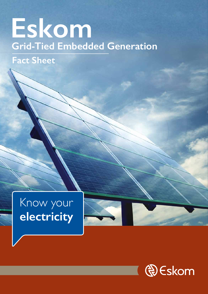# **Grid-Tied Embedded Generation Eskom**

## **Fact Sheet**







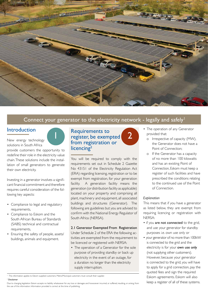

## Connect your generator to the electricity network - legally and safely<sup>1</sup>

- The operation of any Generator provided that:
	- o Irrespective of capacity (MW), the Generator does not have a Point of Connection;
	- o If the Generator has a capacity of no more than 100 kilowatts and has an existing Point of Connection, Eskom must keep a register of such facilities and have prescribed the conditions relating to the continued use of the Point of Connection.

#### *Explanation*

This means that if you have a generator as listed below, they are exempt from requiring licencing or registration with NERSA:

## Requirements to 1 egister, be exempted 2 from registration or licencing<sup>2</sup>

• if you are not connected to the grid,

and use your generator for standby purposes i.e. own use only or • your generator of no more than 100kW is connected to the grid and the electricity is for your own use only (not supplying other customers). However, because your generator is connected to the grid, you will have to apply for a grid connection, pay the quoted fees and sign the required Eskom agreements. Eskom will also keep a register of all of these systems.

<sup>1</sup> This information applies to Eskom supplied customers. Metro/Municipal customers must consult their supplier.

You will be required to comply with the requirements set out in Schedule 2 Gazette No 43151 of the Electricity Regulation Act (ERA) regarding licensing, registration or to be exempt from registration, for your generation facility. A generation facility means the generation (or distribution facility as applicable) located on your property and comprising all plant, machinery and equipment, all associated buildings and structures (Generator). The following are guidelines but you are advised to confirm with the National Energy Regulator of South Africa (NERSA).

2.1 Generator Exempted From Registration Under Schedule 2 of the ERA the following activities are exempted from the requirement to be licenced or registered with NERSA:

• The operation of a Generator for the sole purpose of providing standby or back up electricity in the event of an outage, for a duration no longer than the electricity supply interruption.

## Introduction

New energy technology solutions in South Africa

provide customers the opportunity to redefine their role in the electricity value chain. These solutions include the installation of small generators to generate their own electricity.

Investing in a generator involves a significant financial commitment and therefore requires careful consideration of the following key aspects:

- Compliance to legal and regulatory requirements,
- Compliance to Eskom and the South African Bureau of Standards

(SABS) technical and contractual requirements,

• Ensuring the safety of people, assets/ buildings, animals and equipment.

#### <sup>2</sup> Disclaimer

Due to changing legislation Eskom accepts no liability whatsoever for any loss or damages and howsoever incurred, or suffered, resulting, or arising, from the use of this information. Information provided is correct at the time of publishing.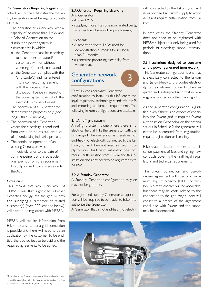## 2.3.Generator Requiring Licencing

Any Generator:

- Above 1MW,
- supplying more than one non related party, irrespective of size will require licensing.

#### *Exceptions*:

- A generator above 1MW used for demonstration purposes for no longer than 36 months,
- a generator producing electricity from waste heat.

## Generator network configurations

Carefully consider what Generator configuration to install, as this influences the legal, regulatory, technology standards, tariffs and metering equipment requirements. The following Eskom configurations are available:

#### 3.1.An off-grid system

An off-grid system is one where there is no electrical tie that links the Generator with the Eskom grid. The Generator is therefore not grid-tied (not electrically connected to the Eskom grid) and does not need an Eskom supply to work. This type of installation does not require authorisation from Eskom and this installation does not need to be registered with NERSA.

#### 3.2.A Standby Generator

A Standby Generator configuration may or may not be grid-tied.

For a grid-tied standby Generator, an application will be required to be made to Eskom to authorise the Generator.

A Generator that is not grid-tied (not electri-

## 2.2.Generators Requiring Registration

Schedule 2 of the ERA states the following Generators must be registered with NERSA:

- The operation of a Generator with a capacity of no more than 1MW and a Point of Connection on the distribution power system, in circumstances in which:
	- o the Generator supplies electricity to a customer or related<sup>3</sup> customers with or without wheeling of that electricity; and
	- o the Generator complies with the Grid Code(s) and has entered into a connection agreement with the holder of the distribution licence in respect of the power system over which the electricity is to be wheeled.
- The operation of a Generator for demonstration purposes only (not longer than 36 months),
- The operation of a Generator where the electricity is produced from waste or the residual product of an underlying industrial process,
- The continued operation of an existing Generator which, immediately prior to the date of commencement of this Schedule, was exempt from the requirement to apply for and hold a licence under the Act.

#### *Explanation*

This means that any Generator of 1MW or less, that is grid-tied (whether exporting energy into the grid or not) and supplying a customer or related customer(s) (even 100 kW and below), will have to be registered with NERSA.

#### NERSA will require information from

Eskom to ensure that a grid connection is possible and there will need to be an application by the customer to be gridtied, the quoted fees to be paid and the required agreements to be signed.

3

cally connected to the Eskom grid) and does not need an Eskom supply to work, does not require authorisation from Eskom.

In both cases, the Standby Generator does not need to be registered with NERSA subject to it only being used for periods of electricity supply interruptions.

#### 3.3.Installations designed to consume all the power generated (non-export)

This Generator configuration is one that is electrically connected to the Eskom grid (is grid-tied) and provides electricity to the customer's property when required and is designed such that no energy is exported into the Eskom grid.

As the generator configuration is gridtied, even if there is no export of energy into the Eskom grid, it requires Eskom authorisation. Depending on the criteria set out in Schedule 2, the generator will either be exempted from registration, require registration or licencing.

Eskom authorisation includes an application, payment of fees and signing new contracts covering the tariff, legal, regulatory and technical requirements.

The Eskom connection and use-ofsystem agreement will specify a maximum export capacity (MEC) of zero kW. No tariff charges will be applicable, but there may be costs related to the connection to the grid. Any export will constitute a breach of the agreement concluded with Eskom and the supply may be disconnected.

3 "Related customers" means customers which are related and inter -related to each other within the meaning contemplated in section 2 of the Companies Act, 2008 (Act No.71 of 2008);

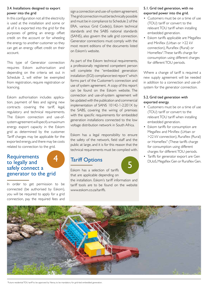#### 3.4. Installations designed to export power into the grid

In this configuration not all the electricity is used at the installation and some or all of it is exported into the grid for the purposes of getting an energy offset credit on the account or for wheeling the energy to another customer so they can get an energy offset credit on their account.

This type of Generator connection requires Eskom authorisation and depending on the criteria set out in Schedule 2, will either be exempted from registration, require registration or licencing.

## **Requirements** to legally and safely connect a generator to the grid

Eskom authorisation includes application, payment of fees and signing new contracts covering the tariff, legal, regulatory and technical requirements. The Eskom connection and use-ofsystem agreement will specify a maximum energy export capacity in the Eskom grid as determined by the customer. Tariff charges may be applicable for the exported energy, and there may be costs related to connection to the grid.

In order to get permission to be connected (be authorised by Eskom), you will be required to apply for a grid connection, pay the required fees and

## Tariff Options Tariff Options

sign a connection and use-of-system agreement. The grid connection must be technically possible and must be in compliance to Schedule 2 of the ERA, various Grid Code(s), Eskom technical standards and the SABS national standards (SANS), also govern the safe grid connection. Generator connections must comply with the most recent editions of the documents listed on Eskom's website.

As part of the Eskom technical requirements, a professionally registered competent person will complete the "embedded generation installation (EGI) compliance test report" which forms part of the Customer's connection and use of system agreement. A copy of this report can be found on the Eskom website. The connection and use-of-system agreement will be updated with the publication and commercial implementation of SANS 10142-1-2:201X by the SABS, covering the wiring of premises with the specific requirements for embedded generation installations connected to the low voltage distribution network in South Africa.

Eskom has a legal responsibility to ensure the safety of the network, field staff and the public at large, and it is for this reason that the technical requirements must be complied with.

Eskom has a selection of tariffs that are applicable depending on

the installation. Eskom's tariff information and tariff tools are to be found on the website www.eskom.co.za/tariffs.

#### 5.1. Grid tied generation, with no exported power into the grid.

- Customers must be on a time of use (TOU) tariff or convert to the relevant TOU tariff when installing embedded generation.
- Eskom tariffs applicable are Megaflex and Miniflex (Urban or >22 kV connection), Ruraflex (Rural) or Homeflex<sup>4</sup> . These tariffs charge for consumption using different charges for different TOU periods.

Where a change of tariff is required a new supply agreement will be needed in addition to a connection and use-ofsystem for the generator connection.

## 5.2. Grid tied generation with exported energy.

- Customers must be on a time of use (TOU) tariff or convert to the relevant TOU tariff when installing embedded generation.
- Eskom tariffs for consumption are Megaflex and Miniflex (Urban or >22 kV connection), Ruraflex (Rural) or Homeflex<sup>4</sup> (These tariffs charge for consumption using different charges for different TOU periods.
- Tariffs for generator export are Gen DUoS, Megaflex Gen or Ruraflex Gen.



4 Future residential TOU tariff to be approved by Nersa, to be mandatory for grid-tied embedded generation.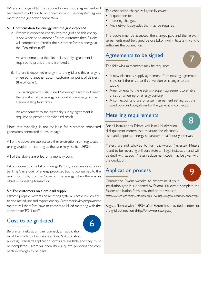Where a change of tariff is required a new supply agreement will be needed in addition to a connection and use-of-system agreement for the generator connection.

#### 5.3. Compensation for energy into the grid exported

A. If there is exported energy into the grid and this energy is not wheeled to another Eskom customer, then Eskom will compensate (credit) the customer for this energy at the Gen-offset tariff.

 An amendment to the electricity supply agreement is required to provide this offset credit.

B. If there is exported energy into the grid and this energy is wheeled to another Eskom customer or point of delivery (the off-taker).

 This arrangement is also called "wheeling". Eskom will credit the off-taker of the energy for non-Eskom energy at the Gen-wheeling tariff rates.

 An amendment to the electricity supply agreement is required to provide this wheeled credit.

Note that wheeling is not available for customer connected generators connected at low voltage.

All of the above are subject to either exemption from registration, or registration or licencing as the case may be, by NERSA.

All of the above are billed on a monthly basis.

Eskom, subject to the Eskom Energy Banking policy, may also allow banking (carry-over of energy produced but not consumed to the next month) by the user/buyer of the energy when there is an offset or wheeling transaction.

#### 5.4. For customers on a pre-paid supply.

Eskom's prepaid meters and metering system is not currently able to do time-of-use and export energy. Customers with prepayment meters will therefore have to convert to billed metering with the appropriate TOU tariff.

## Cost to be grid-tied

Before an installation can connect, an application must be made to Eskom (see Point 9 Application process). Standard application forms are available and they must be completed. Eskom will then issue a quote, providing the connection charges to be paid.

The connection charge will typically cover:

- A quotation fee.
- Metering changes.
- Any network upgrades that may be required.

The quote must be accepted, the charges paid and the relevant agreements must be signed, before Eskom will initiate any work to authorise the connection.

## Agreements to be signed

The following agreements may be required:

- A new electricity supply agreement if the existing agreement is old or if there is a tariff conversion or changes to the supply.
- Amendments to the electricity supply agreement to enable offset or wheeling or energy banking.
- A connection and use-of-system agreement setting out the conditions and obligations for the generator connection.

## Metering requirements

For all installations Eskom will install bi-directional 4-quadrant meters that measure the electricity used and exported energy separately in half hourly intervals.

Meters are not allowed to turn-backwards (reverse). Meters found to be reversing will constitute an illegal installation and will be dealt with as such. Meter replacement costs may be given with the quotation.

## Application process

Consult the Eskom website to determine if your installation type is supported by Eskom. If allowed, complete the Eskom application form provided on the website.

https://www.eskom.co.za/CustomerCare/NewSupply/Pages/GeneratorConnect.aspx

Register/license with NERSA after Eskom has provided a letter for the grid connection (http://www.nersa.org.za/).





8